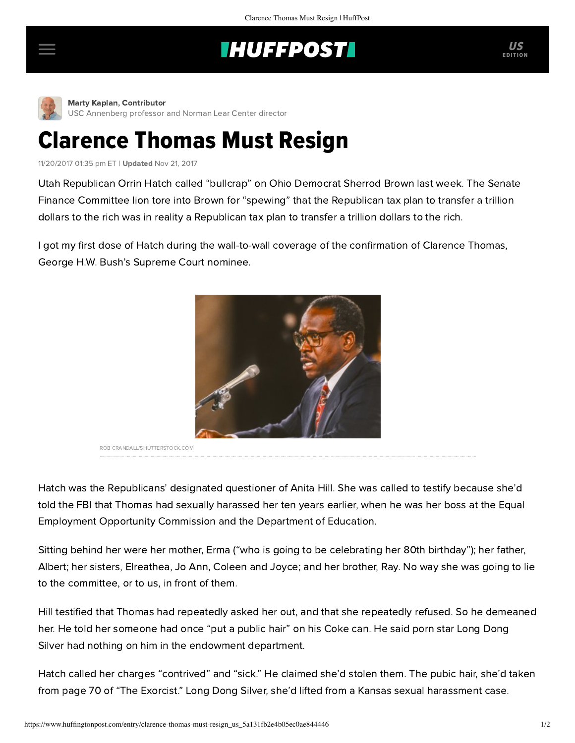## **THUFFPOST**



[Marty Kaplan,](https://www.huffingtonpost.com/author/marty-kaplan) Contributor USC Annenberg professor and Norman Lear Center director

## Clarence Thomas Must Resign

11/20/2017 01:35 pm ET | Updated Nov 21, 2017

Utah Republican Orrin Hatch called "bullcrap" on Ohio Democrat Sherrod Brown last week. The Senate Finance Committee lion tore into Brown for "spewing" that the Republican tax plan to transfer a trillion dollars to the rich was in reality a Republican tax plan to transfer a trillion dollars to the rich.

I got my first dose of Hatch during the wall-to-wall coverage of the confirmation of Clarence Thomas, George H.W. Bush's Supreme Court nominee.



ROB CRANDALL/SHUTTERSTOCK.COM

Hatch was the Republicans' designated questioner of Anita Hill. She was called to testify because she'd told the FBI that Thomas had sexually harassed her ten years earlier, when he was her boss at the Equal Employment Opportunity Commission and the Department of Education.

Sitting behind her were her mother, Erma ("who is going to be celebrating her 80th birthday"); her father, Albert; her sisters, Elreathea, Jo Ann, Coleen and Joyce; and her brother, Ray. No way she was going to lie to the committee, or to us, in front of them.

Hill testified that Thomas had repeatedly asked her out, and that she repeatedly refused. So he demeaned her. He told her someone had once "put a public hair" on his Coke can. He said porn star Long Dong Silver had nothing on him in the endowment department.

Hatch called her charges "contrived" and "sick." He claimed she'd stolen them. The pubic hair, she'd taken from page 70 of "The Exorcist." Long Dong Silver, she'd lifted from a Kansas sexual harassment case.